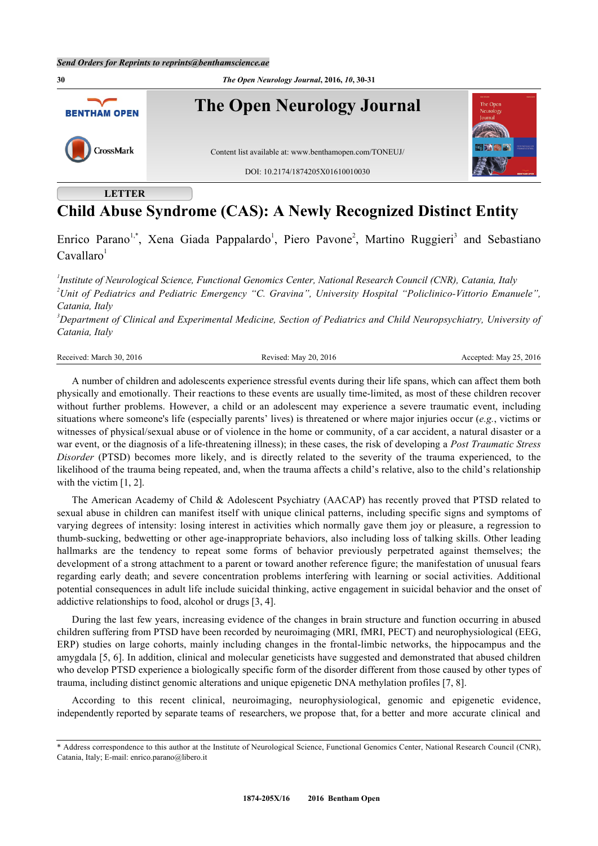

# **Child Abuse Syndrome (CAS): A Newly Recognized Distinct Entity**

Enrico Parano<sup>[1,](#page-0-0)[\\*](#page-0-1)</sup>, Xena Giada Pappalardo<sup>[1](#page-0-0)</sup>, Piero Pavone<sup>[2](#page-0-2)</sup>, Martino Ruggieri<sup>[3](#page-0-3)</sup> and Sebastiano  $Cavallaro<sup>1</sup>$  $Cavallaro<sup>1</sup>$  $Cavallaro<sup>1</sup>$ 

<span id="page-0-2"></span><span id="page-0-0"></span>*1 Institute of Neurological Science, Functional Genomics Center, National Research Council (CNR), Catania, Italy <sup>2</sup>Unit of Pediatrics and Pediatric Emergency "C. Gravina", University Hospital "Policlinico-Vittorio Emanuele", Catania, Italy*

<span id="page-0-3"></span>*<sup>3</sup>Department of Clinical and Experimental Medicine, Section of Pediatrics and Child Neuropsychiatry, University of Catania, Italy*

Revised: May 20, 2016 Revised: May 25, 2016 Revised: May 25, 2016

A number of children and adolescents experience stressful events during their life spans, which can affect them both physically and emotionally. Their reactions to these events are usually time-limited, as most of these children recover without further problems. However, a child or an adolescent may experience a severe traumatic event, including situations where someone's life (especially parents' lives) is threatened or where major injuries occur (*e.g.*, victims or witnesses of physical/sexual abuse or of violence in the home or community, of a car accident, a natural disaster or a war event, or the diagnosis of a life-threatening illness); in these cases, the risk of developing a *Post Traumatic Stress Disorder* (PTSD) becomes more likely, and is directly related to the severity of the trauma experienced, to the likelihood of the trauma being repeated, and, when the trauma affects a child's relative, also to the child's relationship with the victim [\[1](#page-1-0), [2](#page-1-1)].

The American Academy of Child & Adolescent Psychiatry (AACAP) has recently proved that PTSD related to sexual abuse in children can manifest itself with unique clinical patterns, including specific signs and symptoms of varying degrees of intensity: losing interest in activities which normally gave them joy or pleasure, a regression to thumb-sucking, bedwetting or other age-inappropriate behaviors, also including loss of talking skills. Other leading hallmarks are the tendency to repeat some forms of behavior previously perpetrated against themselves; the development of a strong attachment to a parent or toward another reference figure; the manifestation of unusual fears regarding early death; and severe concentration problems interfering with learning or social activities. Additional potential consequences in adult life include suicidal thinking, active engagement in suicidal behavior and the onset of addictive relationships to food, alcohol or drugs [[3,](#page-1-2) [4\]](#page-1-3).

During the last few years, increasing evidence of the changes in brain structure and function occurring in abused children suffering from PTSD have been recorded by neuroimaging (MRI, fMRI, PECT) and neurophysiological (EEG, ERP) studies on large cohorts, mainly including changes in the frontal-limbic networks, the hippocampus and the amygdala [\[5](#page-1-4), [6\]](#page-1-5). In addition, clinical and molecular geneticists have suggested and demonstrated that abused children who develop PTSD experience a biologically specific form of the disorder different from those caused by other types of trauma, including distinct genomic alterations and unique epigenetic DNA methylation profiles [[7,](#page-1-6) [8\]](#page-1-7).

According to this recent clinical, neuroimaging, neurophysiological, genomic and epigenetic evidence, independently reported by separate teams of researchers, we propose that, for a better and more accurate clinical and

<span id="page-0-1"></span><sup>\*</sup> Address correspondence to this author at the Institute of Neurological Science, Functional Genomics Center, National Research Council (CNR), Catania, Italy; E-mail: [enrico.parano@libero.it](mailto:enrico.parano@libero.it)